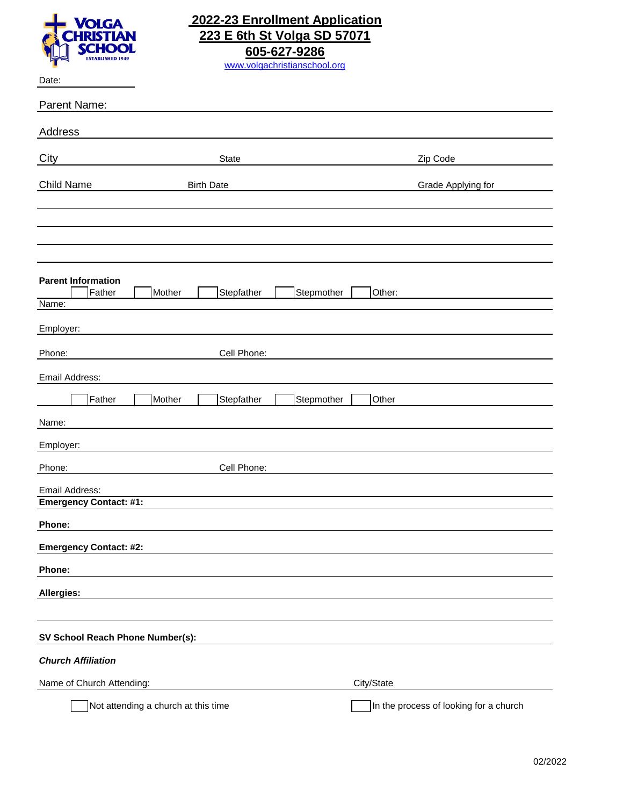

## **2022-23 Enrollment Application 223 E 6th St Volga SD 57071 605-627-9286** [www.volgachristia](http://www.volgachristianschool.org/#)nschool.org

Date:

| Parent Name:                                          |                                        |
|-------------------------------------------------------|----------------------------------------|
| Address                                               |                                        |
| City<br><b>State</b>                                  | Zip Code                               |
| Child Name<br><b>Birth Date</b>                       | Grade Applying for                     |
|                                                       |                                        |
|                                                       |                                        |
|                                                       |                                        |
|                                                       |                                        |
| <b>Parent Information</b>                             |                                        |
| Father<br>Mother<br>Stepfather<br>Stepmother<br>Name: | Other:                                 |
| Employer:                                             |                                        |
| Cell Phone:<br>Phone:                                 |                                        |
| Email Address:                                        |                                        |
| Father<br>Mother<br>Stepfather<br>Stepmother          | Other                                  |
| Name:                                                 |                                        |
| Employer:                                             |                                        |
| Cell Phone:<br>Phone:                                 |                                        |
| Email Address:                                        |                                        |
| <b>Emergency Contact: #1:</b>                         |                                        |
| Phone:                                                |                                        |
| <b>Emergency Contact: #2:</b>                         |                                        |
| Phone:                                                |                                        |
| Allergies:                                            |                                        |
|                                                       |                                        |
| SV School Reach Phone Number(s):                      |                                        |
| <b>Church Affiliation</b>                             |                                        |
| Name of Church Attending:                             | City/State                             |
| Not attending a church at this time                   | In the process of looking for a church |